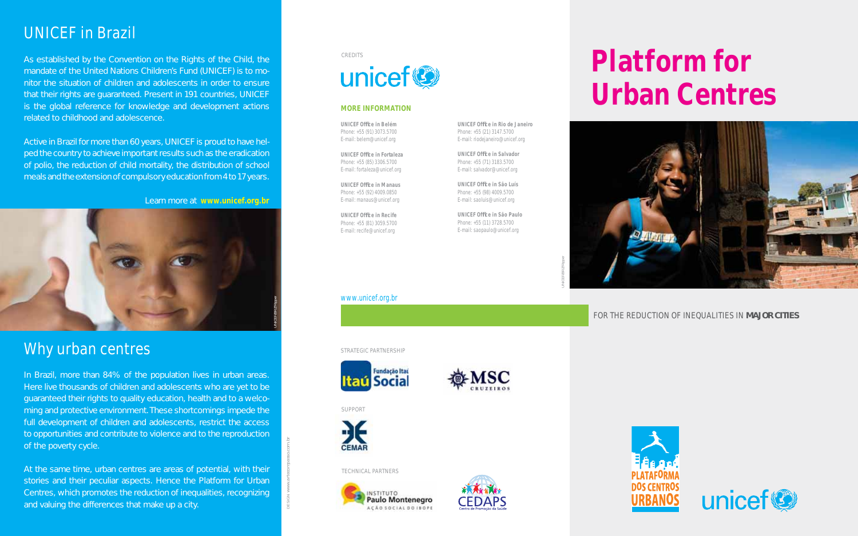### UNICEF in Brazil

As established by the Convention on the Rights of the Child, the mandate of the United Nations Children's Fund (UNICEF) is to monitor the situation of children and adolescents in order to ensure that their rights are guaranteed. Present in 191 countries, UNICEF is the global reference for knowledge and development actions related to childhood and adolescence.

Active in Brazil for more than 60 years, UNICEF is proud to have helped the country to achieve important results such as the eradication of polio, the reduction of child mortality, the distribution of school meals and the extension of compulsory education from 4 to 17 years.

Learn more at **www.unicef.org.br**



### Why urban centres

In Brazil, more than 84% of the population lives in urban areas. Here live thousands of children and adolescents who are yet to be guaranteed their rights to quality education, health and to a welcoming and protective environment. These shortcomings impede the full development of children and adolescents, restrict the access to opportunities and contribute to violence and to the reproduction of the poverty cycle.

At the same time, urban centres are areas of potential, with their stories and their peculiar aspects. Hence the Platform for Urban Centres, which promotes the reduction of inequalities, recognizing and valuing the differences that make up a city.

#### **CREDITS**



#### **MORE INFORMATION**

**UNICEF Offi ce in Belém** Phone: +55 (91) 3073.5700 E-mail: belem@unicef.org

**UNICEF Offi ce in Fortaleza** Phone: +55 (85) 3306.5700 E-mail: fortaleza@unicef.org

**UNICEF Offi ce in Manaus** Phone: +55 (92) 4009.0850 E-mail: manaus@unicef.org

**UNICEF Offi ce in Recife** Phone: +55 (81) 3059.5700 E-mail: recife@unicef.org

www.unicef.org.br

**UNICEF Offi ce in Rio de Janeiro** Phone: +55 (21) 3147.5700 E-mail: riodejaneiro@unicef.org

**UNICEF Offi ce in Salvador** Phone: +55 (71) 3183.5700 E-mail: salvador@unicef.org

**UNICEF Offi ce in São Luís** Phone: +55 (98) 4009.5700 E-mail: saoluis@unicef.org

**UNICEF Offi ce in São Paulo** Phone: +55 (11) 3728.5700 E-mail: saopaulo@unicef.org

# **Platform for Urban Centres**



#### FOR THE REDUCTION OF INEQUALITIES IN **MAJOR CITIES**

STRATEGIC PARTNERSHIP





SUPPORT

*DESIGN www.artecompasso.com.br*



#### TECHNICAL PARTNERS

**INSTITUTO Paulo Montenegro** ACÃO SOCIAL DO IBOPE